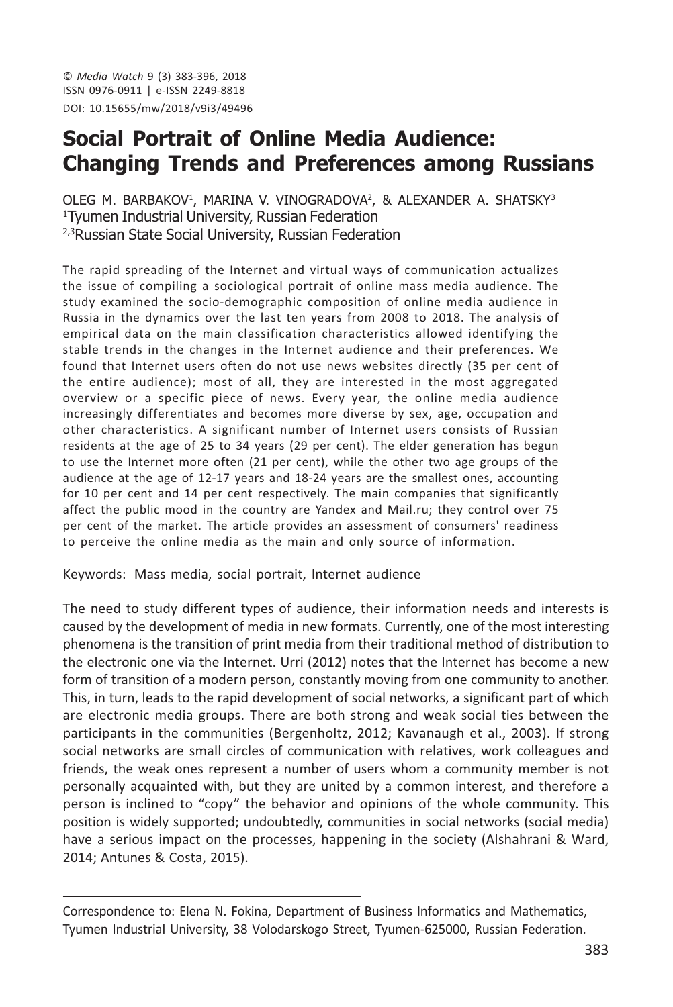© Media Watch 9 (3) 383-396, 2018 ISSN 0976-0911 | e-ISSN 2249-8818 DOI: 10.15655/mw/2018/v9i3/49496

# **Social Portrait of Online Media Audience: Changing Trends and Preferences among Russians**

OLEG M. BARBAKOV<sup>1</sup>, MARINA V. VINOGRADOVA<sup>2</sup>, & ALEXANDER A. SHATSKY<sup>3</sup> <sup>1</sup>Tyumen Industrial University, Russian Federation <sup>2,3</sup>Russian State Social University, Russian Federation

The rapid spreading of the Internet and virtual ways of communication actualizes the issue of compiling a sociological portrait of online mass media audience. The study examined the socio-demographic composition of online media audience in Russia in the dynamics over the last ten years from 2008 to 2018. The analysis of empirical data on the main classification characteristics allowed identifying the stable trends in the changes in the Internet audience and their preferences. We found that Internet users often do not use news websites directly (35 per cent of the entire audience); most of all, they are interested in the most aggregated overview or a specific piece of news. Every year, the online media audience increasingly differentiates and becomes more diverse by sex, age, occupation and other characteristics. A significant number of Internet users consists of Russian residents at the age of 25 to 34 years (29 per cent). The elder generation has begun to use the Internet more often (21 per cent), while the other two age groups of the audience at the age of 12-17 years and 18-24 years are the smallest ones, accounting for 10 per cent and 14 per cent respectively. The main companies that significantly affect the public mood in the country are Yandex and Mail.ru; they control over 75 per cent of the market. The article provides an assessment of consumers' readiness to perceive the online media as the main and only source of information.

Keywords: Mass media, social portrait, Internet audience

The need to study different types of audience, their information needs and interests is caused by the development of media in new formats. Currently, one of the most interesting phenomena is the transition of print media from their traditional method of distribution to the electronic one via the Internet. Urri (2012) notes that the Internet has become a new form of transition of a modern person, constantly moving from one community to another. This, in turn, leads to the rapid development of social networks, a significant part of which are electronic media groups. There are both strong and weak social ties between the participants in the communities (Bergenholtz, 2012; Kavanaugh et al., 2003). If strong social networks are small circles of communication with relatives, work colleagues and friends, the weak ones represent a number of users whom a community member is not personally acquainted with, but they are united by a common interest, and therefore a person is inclined to "copy" the behavior and opinions of the whole community. This position is widely supported; undoubtedly, communities in social networks (social media) have a serious impact on the processes, happening in the society (Alshahrani & Ward, 2014; Antunes & Costa, 2015).

Correspondence to: Elena N. Fokina, Department of Business Informatics and Mathematics, Tyumen Industrial University, 38 Volodarskogo Street, Tyumen-625000, Russian Federation.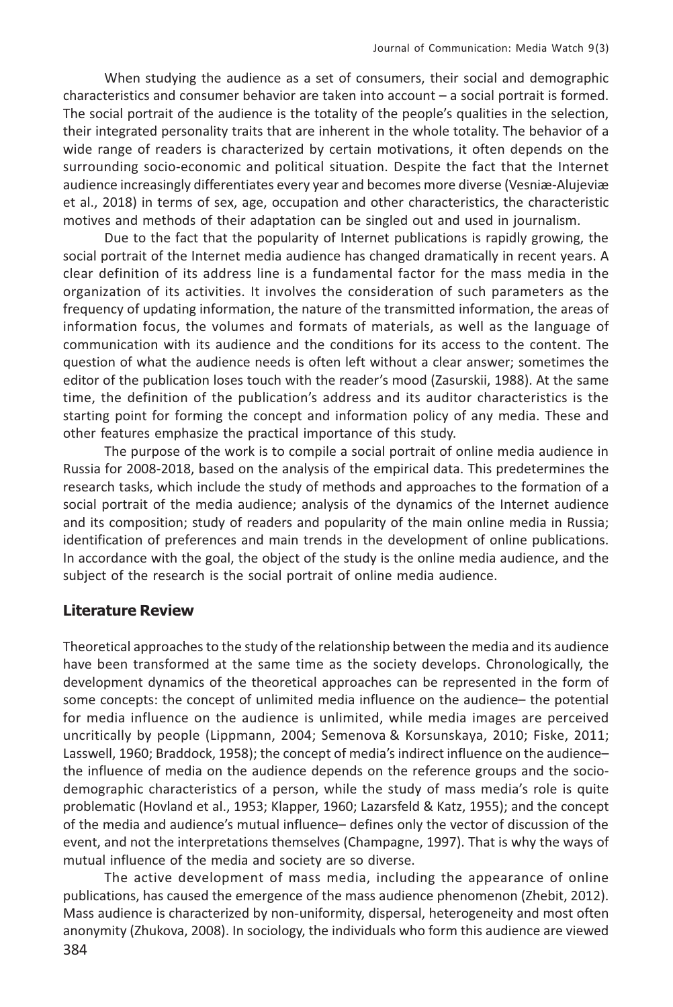When studying the audience as a set of consumers, their social and demographic characteristics and consumer behavior are taken into account - a social portrait is formed. The social portrait of the audience is the totality of the people's qualities in the selection, their integrated personality traits that are inherent in the whole totality. The behavior of a wide range of readers is characterized by certain motivations, it often depends on the surrounding socio-economic and political situation. Despite the fact that the Internet audience increasingly differentiates every year and becomes more diverse (Vesniæ-Alujeviæ et al., 2018) in terms of sex, age, occupation and other characteristics, the characteristic motives and methods of their adaptation can be singled out and used in journalism.

Due to the fact that the popularity of Internet publications is rapidly growing, the social portrait of the Internet media audience has changed dramatically in recent years. A clear definition of its address line is a fundamental factor for the mass media in the organization of its activities. It involves the consideration of such parameters as the frequency of updating information, the nature of the transmitted information, the areas of information focus, the volumes and formats of materials, as well as the language of communication with its audience and the conditions for its access to the content. The question of what the audience needs is often left without a clear answer; sometimes the editor of the publication loses touch with the reader's mood (Zasurskii, 1988). At the same time, the definition of the publication's address and its auditor characteristics is the starting point for forming the concept and information policy of any media. These and other features emphasize the practical importance of this study.

The purpose of the work is to compile a social portrait of online media audience in Russia for 2008-2018, based on the analysis of the empirical data. This predetermines the research tasks, which include the study of methods and approaches to the formation of a social portrait of the media audience; analysis of the dynamics of the Internet audience and its composition; study of readers and popularity of the main online media in Russia; identification of preferences and main trends in the development of online publications. In accordance with the goal, the object of the study is the online media audience, and the subject of the research is the social portrait of online media audience.

### **Literature Review**

Theoretical approaches to the study of the relationship between the media and its audience have been transformed at the same time as the society develops. Chronologically, the development dynamics of the theoretical approaches can be represented in the form of some concepts: the concept of unlimited media influence on the audience- the potential for media influence on the audience is unlimited, while media images are perceived uncritically by people (Lippmann, 2004; Semenova & Korsunskaya, 2010; Fiske, 2011; Lasswell, 1960; Braddock, 1958); the concept of media's indirect influence on the audiencethe influence of media on the audience depends on the reference groups and the sociodemographic characteristics of a person, while the study of mass media's role is quite problematic (Hovland et al., 1953; Klapper, 1960; Lazarsfeld & Katz, 1955); and the concept of the media and audience's mutual influence - defines only the vector of discussion of the event, and not the interpretations themselves (Champagne, 1997). That is why the ways of mutual influence of the media and society are so diverse.

The active development of mass media, including the appearance of online publications, has caused the emergence of the mass audience phenomenon (Zhebit, 2012). Mass audience is characterized by non-uniformity, dispersal, heterogeneity and most often anonymity (Zhukova, 2008). In sociology, the individuals who form this audience are viewed 384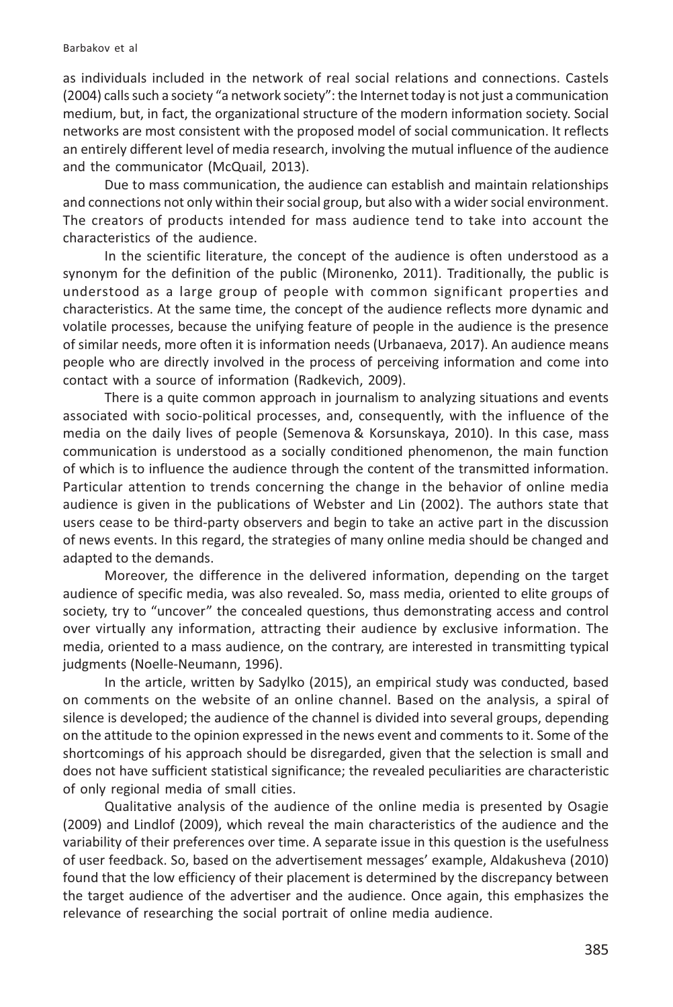as individuals included in the network of real social relations and connections. Castels (2004) calls such a society "a network society": the Internet today is not just a communication medium, but, in fact, the organizational structure of the modern information society. Social networks are most consistent with the proposed model of social communication. It reflects an entirely different level of media research, involving the mutual influence of the audience and the communicator (McQuail, 2013).

Due to mass communication, the audience can establish and maintain relationships and connections not only within their social group, but also with a wider social environment. The creators of products intended for mass audience tend to take into account the characteristics of the audience.

In the scientific literature, the concept of the audience is often understood as a synonym for the definition of the public (Mironenko, 2011). Traditionally, the public is understood as a large group of people with common significant properties and characteristics. At the same time, the concept of the audience reflects more dynamic and volatile processes, because the unifying feature of people in the audience is the presence of similar needs, more often it is information needs (Urbanaeva, 2017). An audience means people who are directly involved in the process of perceiving information and come into contact with a source of information (Radkevich, 2009).

There is a quite common approach in journalism to analyzing situations and events associated with socio-political processes, and, consequently, with the influence of the media on the daily lives of people (Semenova & Korsunskaya, 2010). In this case, mass communication is understood as a socially conditioned phenomenon, the main function of which is to influence the audience through the content of the transmitted information. Particular attention to trends concerning the change in the behavior of online media audience is given in the publications of Webster and Lin (2002). The authors state that users cease to be third-party observers and begin to take an active part in the discussion of news events. In this regard, the strategies of many online media should be changed and adapted to the demands.

Moreover, the difference in the delivered information, depending on the target audience of specific media, was also revealed. So, mass media, oriented to elite groups of society, try to "uncover" the concealed questions, thus demonstrating access and control over virtually any information, attracting their audience by exclusive information. The media, oriented to a mass audience, on the contrary, are interested in transmitting typical judgments (Noelle-Neumann, 1996).

In the article, written by Sadylko (2015), an empirical study was conducted, based on comments on the website of an online channel. Based on the analysis, a spiral of silence is developed; the audience of the channel is divided into several groups, depending on the attitude to the opinion expressed in the news event and comments to it. Some of the shortcomings of his approach should be disregarded, given that the selection is small and does not have sufficient statistical significance; the revealed peculiarities are characteristic of only regional media of small cities.

Qualitative analysis of the audience of the online media is presented by Osagie (2009) and Lindlof (2009), which reveal the main characteristics of the audience and the variability of their preferences over time. A separate issue in this question is the usefulness of user feedback. So, based on the advertisement messages' example, Aldakusheva (2010) found that the low efficiency of their placement is determined by the discrepancy between the target audience of the advertiser and the audience. Once again, this emphasizes the relevance of researching the social portrait of online media audience.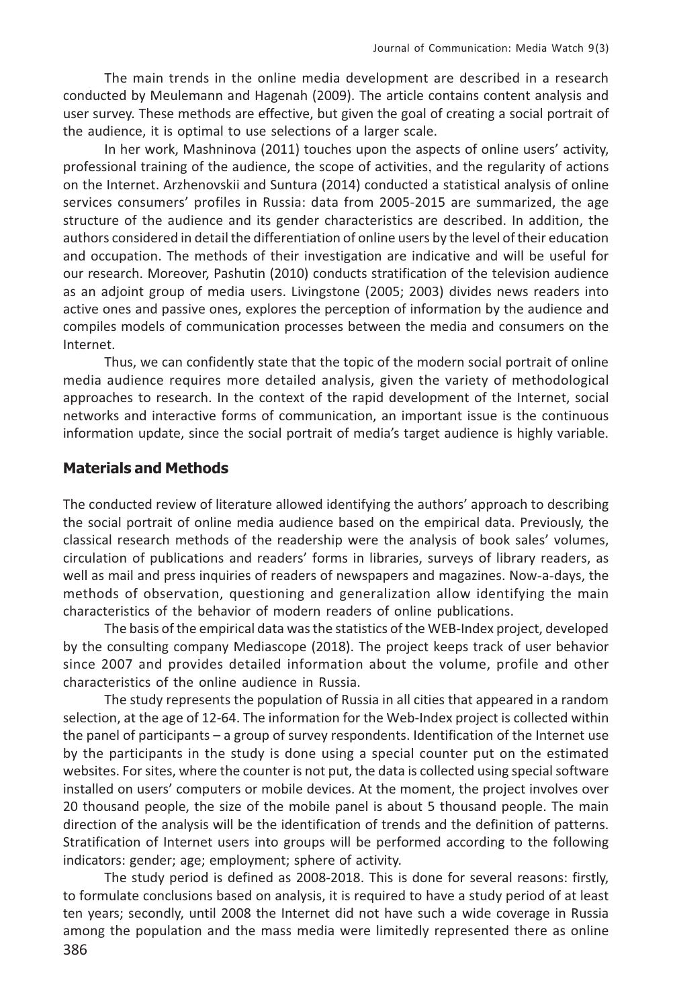The main trends in the online media development are described in a research conducted by Meulemann and Hagenah (2009). The article contains content analysis and user survey. These methods are effective, but given the goal of creating a social portrait of the audience, it is optimal to use selections of a larger scale.

In her work, Mashninova (2011) touches upon the aspects of online users' activity, professional training of the audience, the scope of activities, and the regularity of actions on the Internet. Arzhenovskii and Suntura (2014) conducted a statistical analysis of online services consumers' profiles in Russia: data from 2005-2015 are summarized, the age structure of the audience and its gender characteristics are described. In addition, the authors considered in detail the differentiation of online users by the level of their education and occupation. The methods of their investigation are indicative and will be useful for our research. Moreover, Pashutin (2010) conducts stratification of the television audience as an adjoint group of media users. Livingstone (2005; 2003) divides news readers into active ones and passive ones, explores the perception of information by the audience and compiles models of communication processes between the media and consumers on the Internet.

Thus, we can confidently state that the topic of the modern social portrait of online media audience requires more detailed analysis, given the variety of methodological approaches to research. In the context of the rapid development of the Internet, social networks and interactive forms of communication, an important issue is the continuous information update, since the social portrait of media's target audience is highly variable.

### **Materials and Methods**

The conducted review of literature allowed identifying the authors' approach to describing the social portrait of online media audience based on the empirical data. Previously, the classical research methods of the readership were the analysis of book sales' volumes, circulation of publications and readers' forms in libraries, surveys of library readers, as well as mail and press inquiries of readers of newspapers and magazines. Now-a-days, the methods of observation, questioning and generalization allow identifying the main characteristics of the behavior of modern readers of online publications.

The basis of the empirical data was the statistics of the WEB-Index project, developed by the consulting company Mediascope (2018). The project keeps track of user behavior since 2007 and provides detailed information about the volume, profile and other characteristics of the online audience in Russia.

The study represents the population of Russia in all cities that appeared in a random selection, at the age of 12-64. The information for the Web-Index project is collected within the panel of participants – a group of survey respondents. Identification of the Internet use by the participants in the study is done using a special counter put on the estimated websites. For sites, where the counter is not put, the data is collected using special software installed on users' computers or mobile devices. At the moment, the project involves over 20 thousand people, the size of the mobile panel is about 5 thousand people. The main direction of the analysis will be the identification of trends and the definition of patterns. Stratification of Internet users into groups will be performed according to the following indicators: gender; age; employment; sphere of activity.

The study period is defined as 2008-2018. This is done for several reasons: firstly, to formulate conclusions based on analysis, it is required to have a study period of at least ten years; secondly, until 2008 the Internet did not have such a wide coverage in Russia among the population and the mass media were limitedly represented there as online 386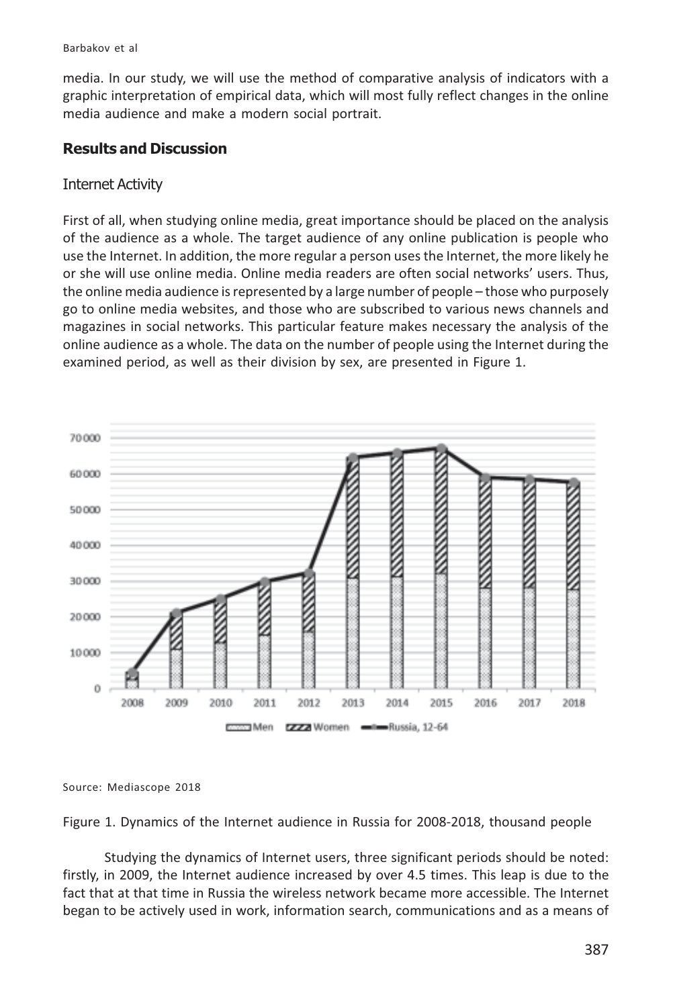Barbakov et al

media. In our study, we will use the method of comparative analysis of indicators with a graphic interpretation of empirical data, which will most fully reflect changes in the online media audience and make a modern social portrait.

## **Results and Discussion**

#### **Internet Activity**

First of all, when studying online media, great importance should be placed on the analysis of the audience as a whole. The target audience of any online publication is people who use the Internet. In addition, the more regular a person uses the Internet, the more likely he or she will use online media. Online media readers are often social networks' users. Thus, the online media audience is represented by a large number of people - those who purposely go to online media websites, and those who are subscribed to various news channels and magazines in social networks. This particular feature makes necessary the analysis of the online audience as a whole. The data on the number of people using the Internet during the examined period, as well as their division by sex, are presented in Figure 1.



Source: Mediascope 2018

Figure 1. Dynamics of the Internet audience in Russia for 2008-2018, thousand people

Studying the dynamics of Internet users, three significant periods should be noted: firstly, in 2009, the Internet audience increased by over 4.5 times. This leap is due to the fact that at that time in Russia the wireless network became more accessible. The Internet began to be actively used in work, information search, communications and as a means of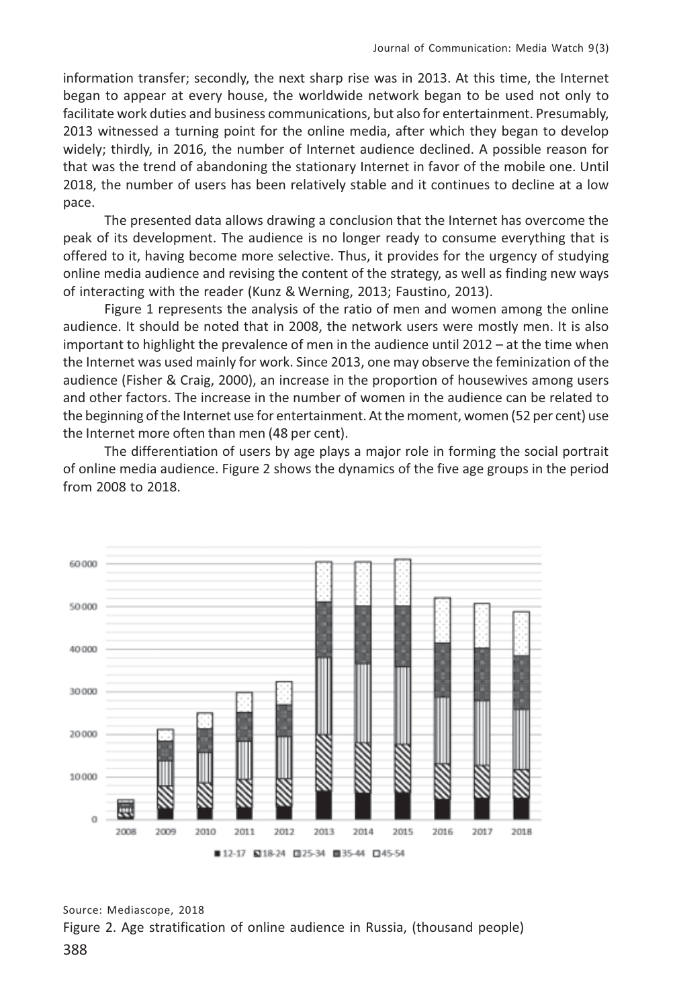information transfer; secondly, the next sharp rise was in 2013. At this time, the Internet began to appear at every house, the worldwide network began to be used not only to facilitate work duties and business communications, but also for entertainment. Presumably, 2013 witnessed a turning point for the online media, after which they began to develop widely; thirdly, in 2016, the number of Internet audience declined. A possible reason for that was the trend of abandoning the stationary Internet in favor of the mobile one. Until 2018, the number of users has been relatively stable and it continues to decline at a low pace.

The presented data allows drawing a conclusion that the Internet has overcome the peak of its development. The audience is no longer ready to consume everything that is offered to it, having become more selective. Thus, it provides for the urgency of studying online media audience and revising the content of the strategy, as well as finding new ways of interacting with the reader (Kunz & Werning, 2013; Faustino, 2013).

Figure 1 represents the analysis of the ratio of men and women among the online audience. It should be noted that in 2008, the network users were mostly men. It is also important to highlight the prevalence of men in the audience until  $2012 - at$  the time when the Internet was used mainly for work. Since 2013, one may observe the feminization of the audience (Fisher & Craig, 2000), an increase in the proportion of housewives among users and other factors. The increase in the number of women in the audience can be related to the beginning of the Internet use for entertainment. At the moment, women (52 per cent) use the Internet more often than men (48 per cent).

The differentiation of users by age plays a major role in forming the social portrait of online media audience. Figure 2 shows the dynamics of the five age groups in the period from 2008 to 2018.



Source: Mediascope, 2018 Figure 2. Age stratification of online audience in Russia, (thousand people)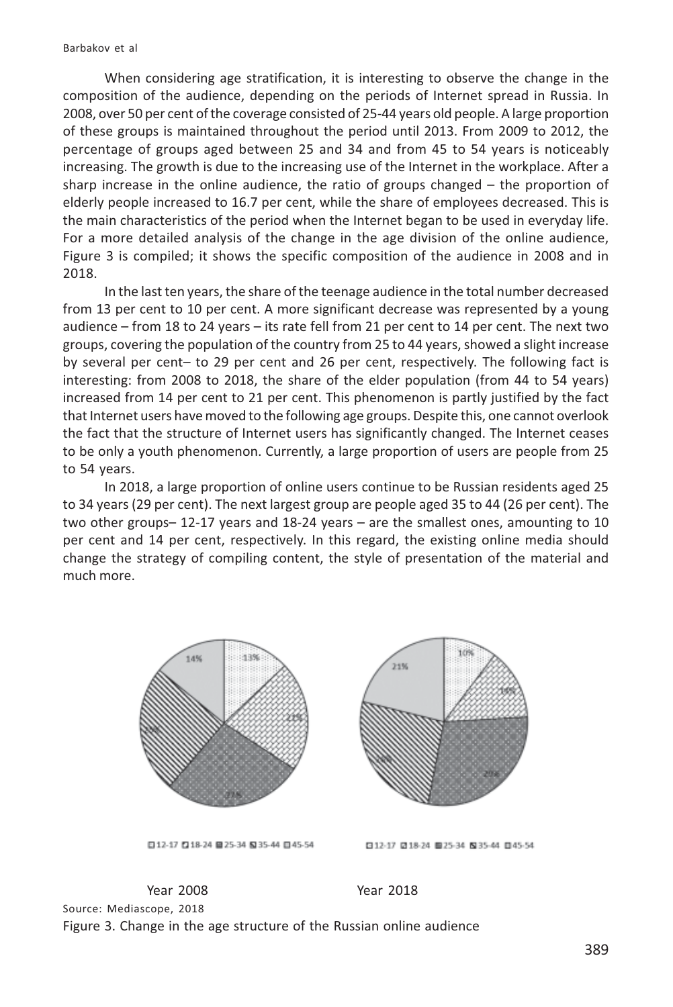When considering age stratification, it is interesting to observe the change in the composition of the audience, depending on the periods of Internet spread in Russia. In 2008, over 50 per cent of the coverage consisted of 25-44 years old people. A large proportion of these groups is maintained throughout the period until 2013. From 2009 to 2012, the percentage of groups aged between 25 and 34 and from 45 to 54 years is noticeably increasing. The growth is due to the increasing use of the Internet in the workplace. After a sharp increase in the online audience, the ratio of groups changed  $-$  the proportion of elderly people increased to 16.7 per cent, while the share of employees decreased. This is the main characteristics of the period when the Internet began to be used in everyday life. For a more detailed analysis of the change in the age division of the online audience, Figure 3 is compiled; it shows the specific composition of the audience in 2008 and in 2018.

In the last ten years, the share of the teenage audience in the total number decreased from 13 per cent to 10 per cent. A more significant decrease was represented by a young audience  $-$  from 18 to 24 years  $-$  its rate fell from 21 per cent to 14 per cent. The next two groups, covering the population of the country from 25 to 44 years, showed a slight increase by several per cent- to 29 per cent and 26 per cent, respectively. The following fact is interesting: from 2008 to 2018, the share of the elder population (from 44 to 54 years) increased from 14 per cent to 21 per cent. This phenomenon is partly justified by the fact that Internet users have moved to the following age groups. Despite this, one cannot overlook the fact that the structure of Internet users has significantly changed. The Internet ceases to be only a youth phenomenon. Currently, a large proportion of users are people from 25 to 54 years.

In 2018, a large proportion of online users continue to be Russian residents aged 25 to 34 years (29 per cent). The next largest group are people aged 35 to 44 (26 per cent). The two other groups  $-$  12-17 years and 18-24 years  $-$  are the smallest ones, amounting to 10 per cent and 14 per cent, respectively. In this regard, the existing online media should change the strategy of compiling content, the style of presentation of the material and much more.



□12-17 □18-24 ■25-34 535-44 □45-54

日12-17 日18-24 ■25-34 N35-44 日45-54

**Year 2008** Year 2018 Source: Mediascope, 2018 Figure 3. Change in the age structure of the Russian online audience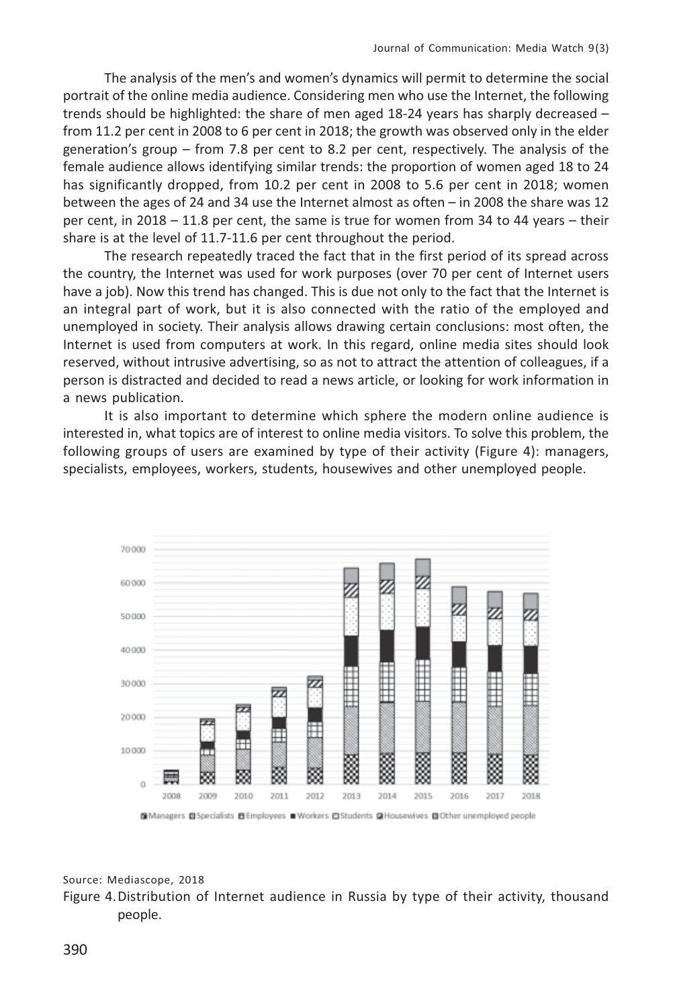The analysis of the men's and women's dynamics will permit to determine the social portrait of the online media audience. Considering men who use the Internet, the following trends should be highlighted: the share of men aged 18-24 years has sharply decreased  $$ from 11.2 per cent in 2008 to 6 per cent in 2018; the growth was observed only in the elder generation's group – from 7.8 per cent to 8.2 per cent, respectively. The analysis of the female audience allows identifying similar trends: the proportion of women aged 18 to 24 has significantly dropped, from 10.2 per cent in 2008 to 5.6 per cent in 2018; women between the ages of 24 and 34 use the Internet almost as often - in 2008 the share was 12 per cent, in  $2018 - 11.8$  per cent, the same is true for women from 34 to 44 years – their share is at the level of 11.7-11.6 per cent throughout the period.

The research repeatedly traced the fact that in the first period of its spread across the country, the Internet was used for work purposes (over 70 per cent of Internet users have a job). Now this trend has changed. This is due not only to the fact that the Internet is an integral part of work, but it is also connected with the ratio of the employed and unemployed in society. Their analysis allows drawing certain conclusions: most often, the Internet is used from computers at work. In this regard, online media sites should look reserved, without intrusive advertising, so as not to attract the attention of colleagues, if a person is distracted and decided to read a news article, or looking for work information in a news publication.

It is also important to determine which sphere the modern online audience is interested in, what topics are of interest to online media visitors. To solve this problem, the following groups of users are examined by type of their activity (Figure 4): managers, specialists, employees, workers, students, housewives and other unemployed people.



#### Source: Mediascope, 2018

Figure 4. Distribution of Internet audience in Russia by type of their activity, thousand people.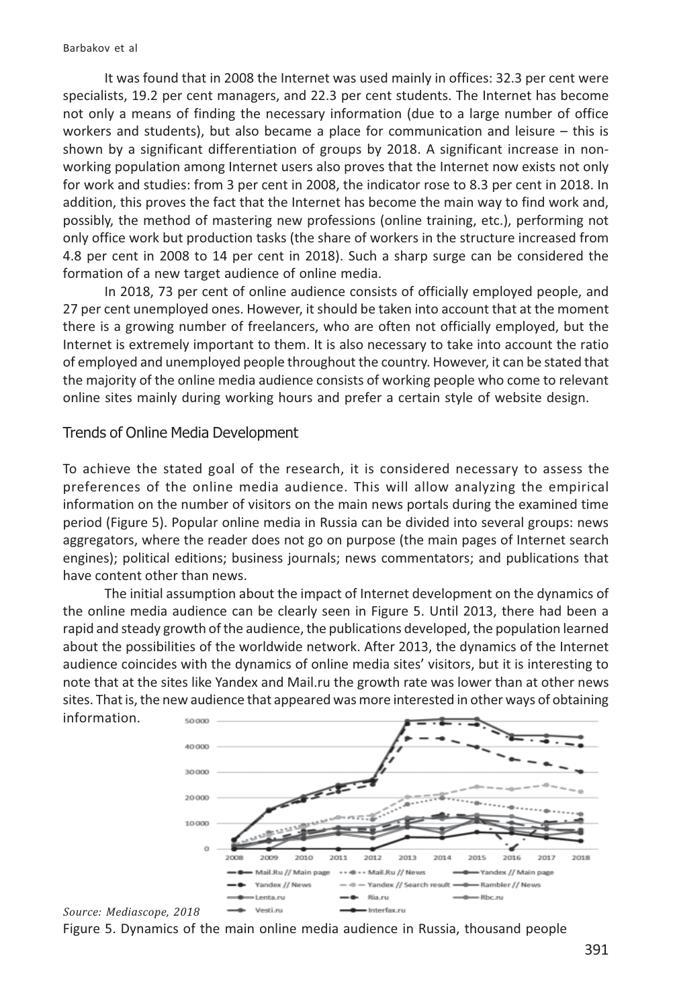It was found that in 2008 the Internet was used mainly in offices: 32.3 per cent were specialists, 19.2 per cent managers, and 22.3 per cent students. The Internet has become not only a means of finding the necessary information (due to a large number of office workers and students), but also became a place for communication and leisure  $-$  this is shown by a significant differentiation of groups by 2018. A significant increase in nonworking population among Internet users also proves that the Internet now exists not only for work and studies: from 3 per cent in 2008, the indicator rose to 8.3 per cent in 2018. In addition, this proves the fact that the Internet has become the main way to find work and, possibly, the method of mastering new professions (online training, etc.), performing not only office work but production tasks (the share of workers in the structure increased from 4.8 per cent in 2008 to 14 per cent in 2018). Such a sharp surge can be considered the formation of a new target audience of online media.

In 2018, 73 per cent of online audience consists of officially employed people, and 27 per cent unemployed ones. However, it should be taken into account that at the moment there is a growing number of freelancers, who are often not officially employed, but the Internet is extremely important to them. It is also necessary to take into account the ratio of employed and unemployed people throughout the country. However, it can be stated that the majority of the online media audience consists of working people who come to relevant online sites mainly during working hours and prefer a certain style of website design.

#### Trends of Online Media Development

To achieve the stated goal of the research, it is considered necessary to assess the preferences of the online media audience. This will allow analyzing the empirical information on the number of visitors on the main news portals during the examined time period (Figure 5). Popular online media in Russia can be divided into several groups: news aggregators, where the reader does not go on purpose (the main pages of Internet search engines); political editions; business journals; news commentators; and publications that have content other than news.

The initial assumption about the impact of Internet development on the dynamics of the online media audience can be clearly seen in Figure 5. Until 2013, there had been a rapid and steady growth of the audience, the publications developed, the population learned about the possibilities of the worldwide network. After 2013, the dynamics of the Internet audience coincides with the dynamics of online media sites' visitors, but it is interesting to note that at the sites like Yandex and Mail.ru the growth rate was lower than at other news sites. That is, the new audience that appeared was more interested in other ways of obtaining information.



Source: Mediascope, 2018 Figure 5. Dynamics of the main online media audience in Russia, thousand people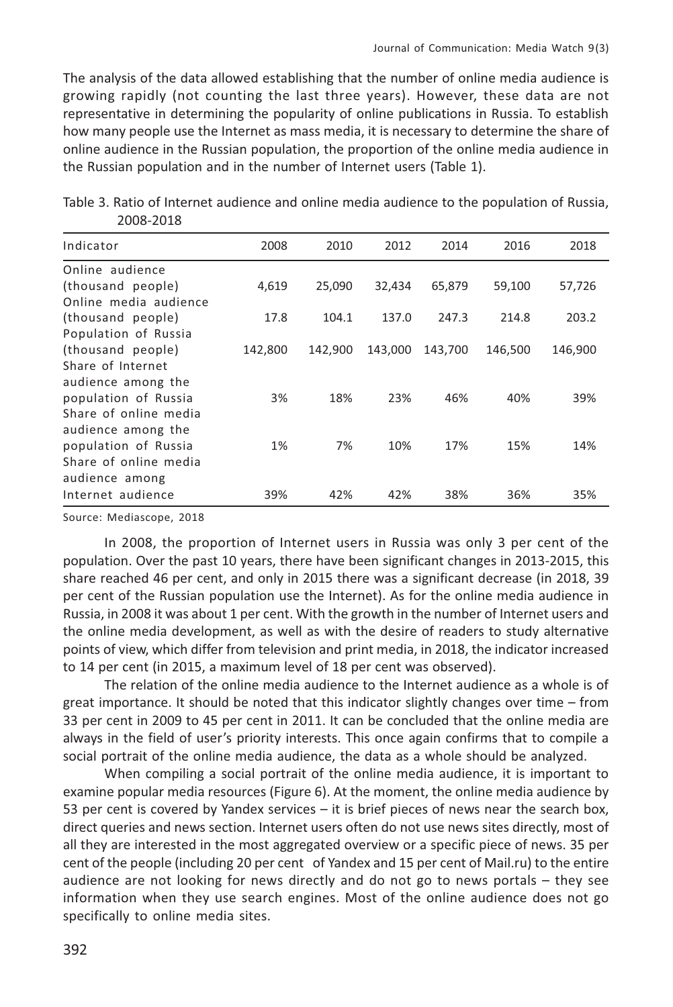The analysis of the data allowed establishing that the number of online media audience is growing rapidly (not counting the last three years). However, these data are not representative in determining the popularity of online publications in Russia. To establish how many people use the Internet as mass media, it is necessary to determine the share of online audience in the Russian population, the proportion of the online media audience in the Russian population and in the number of Internet users (Table 1).

| Indicator             | 2008    | 2010    | 2012    | 2014    | 2016    | 2018    |
|-----------------------|---------|---------|---------|---------|---------|---------|
| Online audience       |         |         |         |         |         |         |
| (thousand people)     | 4,619   | 25,090  | 32,434  | 65,879  | 59,100  | 57,726  |
| Online media audience |         |         |         |         |         |         |
| (thousand people)     | 17.8    | 104.1   | 137.0   | 247.3   | 214.8   | 203.2   |
| Population of Russia  |         |         |         |         |         |         |
| (thousand people)     | 142,800 | 142,900 | 143,000 | 143,700 | 146,500 | 146,900 |
| Share of Internet     |         |         |         |         |         |         |
| audience among the    |         |         |         |         |         |         |
| population of Russia  | 3%      | 18%     | 23%     | 46%     | 40%     | 39%     |
| Share of online media |         |         |         |         |         |         |
| audience among the    |         |         |         |         |         |         |
| population of Russia  | 1%      | 7%      | 10%     | 17%     | 15%     | 14%     |
| Share of online media |         |         |         |         |         |         |
| audience among        |         |         |         |         |         |         |
| Internet audience     | 39%     | 42%     | 42%     | 38%     | 36%     | 35%     |

|           |  |  |  | Table 3. Ratio of Internet audience and online media audience to the population of Russia, |  |
|-----------|--|--|--|--------------------------------------------------------------------------------------------|--|
| 2008-2018 |  |  |  |                                                                                            |  |

Source: Mediascope, 2018

In 2008, the proportion of Internet users in Russia was only 3 per cent of the population. Over the past 10 years, there have been significant changes in 2013-2015, this share reached 46 per cent, and only in 2015 there was a significant decrease (in 2018, 39 per cent of the Russian population use the Internet). As for the online media audience in Russia, in 2008 it was about 1 per cent. With the growth in the number of Internet users and the online media development, as well as with the desire of readers to study alternative points of view, which differ from television and print media, in 2018, the indicator increased to 14 per cent (in 2015, a maximum level of 18 per cent was observed).

The relation of the online media audience to the Internet audience as a whole is of great importance. It should be noted that this indicator slightly changes over time - from 33 per cent in 2009 to 45 per cent in 2011. It can be concluded that the online media are always in the field of user's priority interests. This once again confirms that to compile a social portrait of the online media audience, the data as a whole should be analyzed.

When compiling a social portrait of the online media audience, it is important to examine popular media resources (Figure 6). At the moment, the online media audience by 53 per cent is covered by Yandex services  $-$  it is brief pieces of news near the search box, direct queries and news section. Internet users often do not use news sites directly, most of all they are interested in the most aggregated overview or a specific piece of news. 35 per cent of the people (including 20 per cent of Yandex and 15 per cent of Mail.ru) to the entire audience are not looking for news directly and do not go to news portals - they see information when they use search engines. Most of the online audience does not go specifically to online media sites.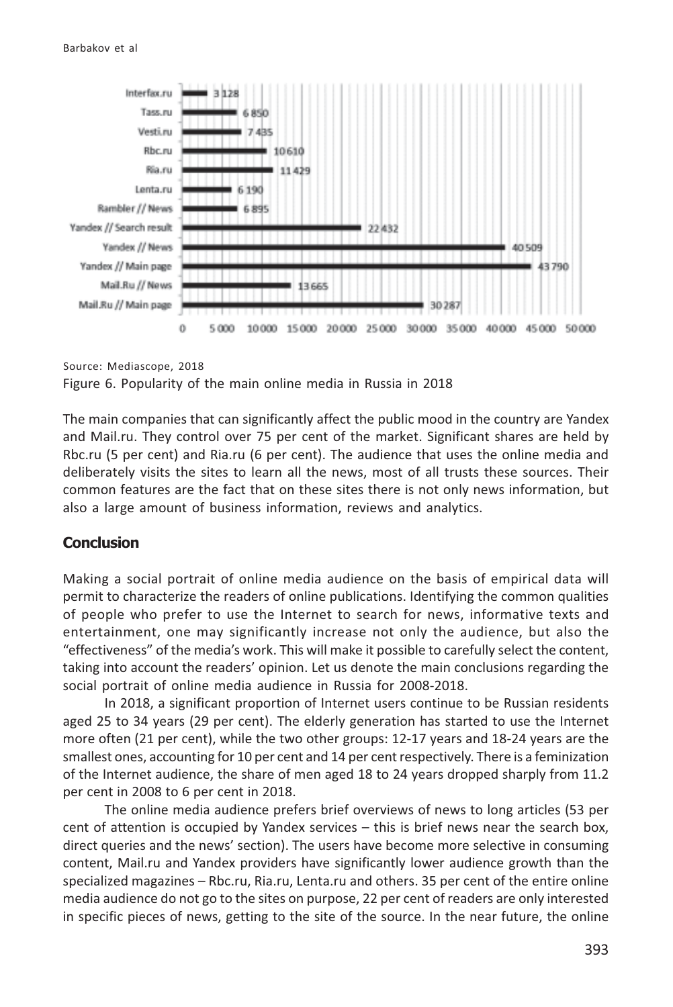

Source: Mediascope, 2018

Figure 6. Popularity of the main online media in Russia in 2018

The main companies that can significantly affect the public mood in the country are Yandex and Mail.ru. They control over 75 per cent of the market. Significant shares are held by Rbc.ru (5 per cent) and Ria.ru (6 per cent). The audience that uses the online media and deliberately visits the sites to learn all the news, most of all trusts these sources. Their common features are the fact that on these sites there is not only news information, but also a large amount of business information, reviews and analytics.

#### **Conclusion**

Making a social portrait of online media audience on the basis of empirical data will permit to characterize the readers of online publications. Identifying the common qualities of people who prefer to use the Internet to search for news, informative texts and entertainment, one may significantly increase not only the audience, but also the "effectiveness" of the media's work. This will make it possible to carefully select the content, taking into account the readers' opinion. Let us denote the main conclusions regarding the social portrait of online media audience in Russia for 2008-2018.

In 2018, a significant proportion of Internet users continue to be Russian residents aged 25 to 34 years (29 per cent). The elderly generation has started to use the Internet more often (21 per cent), while the two other groups: 12-17 years and 18-24 years are the smallest ones, accounting for 10 per cent and 14 per cent respectively. There is a feminization of the Internet audience, the share of men aged 18 to 24 years dropped sharply from 11.2 per cent in 2008 to 6 per cent in 2018.

The online media audience prefers brief overviews of news to long articles (53 per cent of attention is occupied by Yandex services  $-$  this is brief news near the search box, direct queries and the news' section). The users have become more selective in consuming content, Mail.ru and Yandex providers have significantly lower audience growth than the specialized magazines – Rbc.ru, Ria.ru, Lenta.ru and others. 35 per cent of the entire online media audience do not go to the sites on purpose, 22 per cent of readers are only interested in specific pieces of news, getting to the site of the source. In the near future, the online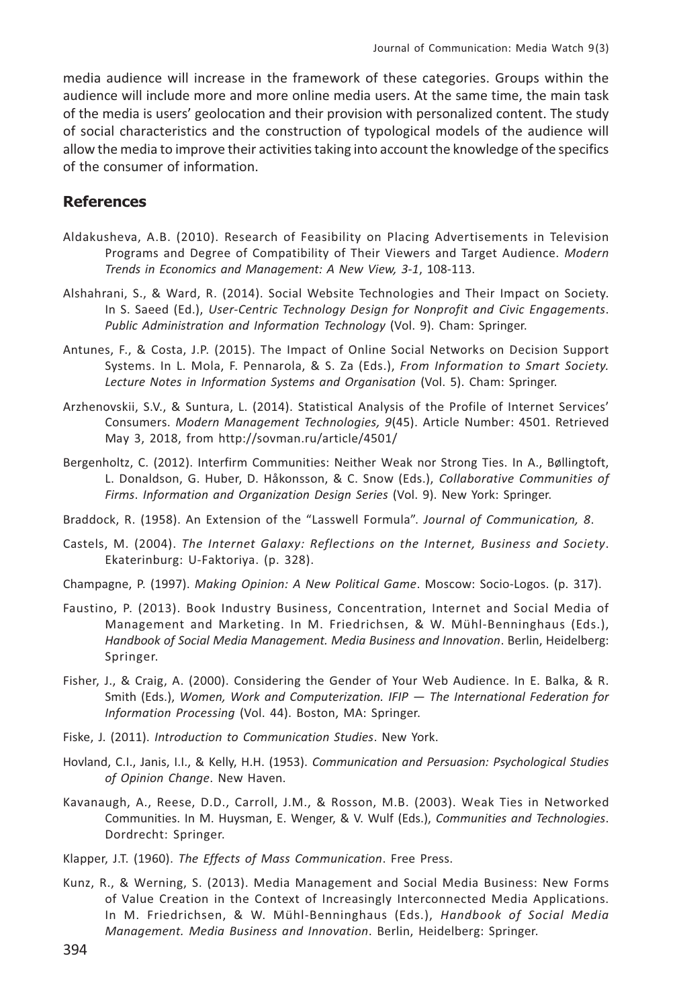media audience will increase in the framework of these categories. Groups within the audience will include more and more online media users. At the same time, the main task of the media is users' geolocation and their provision with personalized content. The study of social characteristics and the construction of typological models of the audience will allow the media to improve their activities taking into account the knowledge of the specifics of the consumer of information.

#### **References**

- Aldakusheva, A.B. (2010). Research of Feasibility on Placing Advertisements in Television Programs and Degree of Compatibility of Their Viewers and Target Audience. Modern Trends in Economics and Management: A New View, 3-1, 108-113.
- Alshahrani, S., & Ward, R. (2014). Social Website Technologies and Their Impact on Society. In S. Saeed (Ed.), User-Centric Technology Design for Nonprofit and Civic Engagements. Public Administration and Information Technology (Vol. 9). Cham: Springer.
- Antunes, F., & Costa, J.P. (2015). The Impact of Online Social Networks on Decision Support Systems. In L. Mola, F. Pennarola, & S. Za (Eds.), From Information to Smart Society. Lecture Notes in Information Systems and Organisation (Vol. 5). Cham: Springer.
- Arzhenovskii, S.V., & Suntura, L. (2014). Statistical Analysis of the Profile of Internet Services' Consumers. Modern Management Technologies, 9(45). Article Number: 4501. Retrieved May 3, 2018, from http://sovman.ru/article/4501/
- Bergenholtz, C. (2012). Interfirm Communities: Neither Weak nor Strong Ties. In A., Bøllingtoft, L. Donaldson, G. Huber, D. Håkonsson, & C. Snow (Eds.), Collaborative Communities of Firms. Information and Organization Design Series (Vol. 9). New York: Springer.
- Braddock, R. (1958). An Extension of the "Lasswell Formula". Journal of Communication, 8.
- Castels, M. (2004). The Internet Galaxy: Reflections on the Internet, Business and Society. Ekaterinburg: U-Faktoriya. (p. 328).
- Champagne, P. (1997). Making Opinion: A New Political Game. Moscow: Socio-Logos. (p. 317).
- Faustino, P. (2013). Book Industry Business, Concentration, Internet and Social Media of Management and Marketing. In M. Friedrichsen, & W. Mühl-Benninghaus (Eds.), Handbook of Social Media Management. Media Business and Innovation. Berlin, Heidelberg: Springer.
- Fisher, J., & Craig, A. (2000). Considering the Gender of Your Web Audience. In E. Balka, & R. Smith (Eds.), Women, Work and Computerization. IFIP - The International Federation for Information Processing (Vol. 44). Boston, MA: Springer.
- Fiske, J. (2011). Introduction to Communication Studies. New York.
- Hovland, C.I., Janis, I.I., & Kelly, H.H. (1953). Communication and Persuasion: Psychological Studies of Opinion Change. New Haven.
- Kavanaugh, A., Reese, D.D., Carroll, J.M., & Rosson, M.B. (2003). Weak Ties in Networked Communities. In M. Huysman, E. Wenger, & V. Wulf (Eds.), Communities and Technologies. Dordrecht: Springer.
- Klapper, J.T. (1960). The Effects of Mass Communication. Free Press.
- Kunz, R., & Werning, S. (2013). Media Management and Social Media Business: New Forms of Value Creation in the Context of Increasingly Interconnected Media Applications. In M. Friedrichsen, & W. Mühl-Benninghaus (Eds.), Handbook of Social Media Management. Media Business and Innovation. Berlin, Heidelberg: Springer.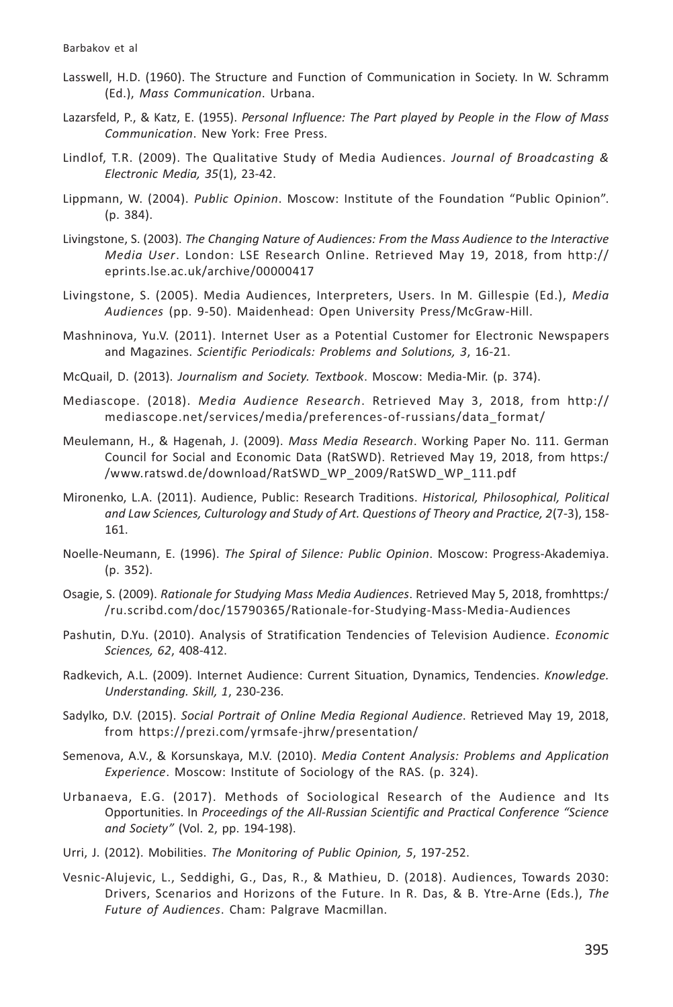- Lasswell, H.D. (1960). The Structure and Function of Communication in Society. In W. Schramm (Ed.), Mass Communication. Urbana.
- Lazarsfeld, P., & Katz, E. (1955). Personal Influence: The Part played by People in the Flow of Mass Communication. New York: Free Press.
- Lindlof, T.R. (2009). The Qualitative Study of Media Audiences. Journal of Broadcasting & Electronic Media, 35(1), 23-42.
- Lippmann, W. (2004). Public Opinion. Moscow: Institute of the Foundation "Public Opinion".  $(p. 384)$ .
- Livingstone, S. (2003). The Changing Nature of Audiences: From the Mass Audience to the Interactive Media User. London: LSE Research Online. Retrieved May 19, 2018, from http:// eprints.lse.ac.uk/archive/00000417
- Livingstone, S. (2005). Media Audiences, Interpreters, Users. In M. Gillespie (Ed.), Media Audiences (pp. 9-50). Maidenhead: Open University Press/McGraw-Hill.
- Mashninova, Yu.V. (2011). Internet User as a Potential Customer for Electronic Newspapers and Magazines, Scientific Periodicals: Problems and Solutions, 3, 16-21.
- McQuail, D. (2013). Journalism and Society. Textbook. Moscow: Media-Mir. (p. 374).
- Mediascope. (2018). Media Audience Research. Retrieved May 3, 2018, from http:// mediascope.net/services/media/preferences-of-russians/data format/
- Meulemann, H., & Hagenah, J. (2009). Mass Media Research. Working Paper No. 111. German Council for Social and Economic Data (RatSWD). Retrieved May 19, 2018, from https:/ /www.ratswd.de/download/RatSWD\_WP\_2009/RatSWD\_WP\_111.pdf
- Mironenko, L.A. (2011). Audience, Public: Research Traditions. Historical, Philosophical, Political and Law Sciences, Culturology and Study of Art. Questions of Theory and Practice, 2(7-3), 158-161.
- Noelle-Neumann, E. (1996). The Spiral of Silence: Public Opinion. Moscow: Progress-Akademiya.  $(p. 352)$ .
- Osagie, S. (2009). Rationale for Studying Mass Media Audiences. Retrieved May 5, 2018, fromhttps:/ /ru.scribd.com/doc/15790365/Rationale-for-Studying-Mass-Media-Audiences
- Pashutin, D.Yu. (2010). Analysis of Stratification Tendencies of Television Audience. Economic Sciences, 62, 408-412.
- Radkevich, A.L. (2009). Internet Audience: Current Situation, Dynamics, Tendencies. Knowledge. Understanding. Skill, 1, 230-236.
- Sadylko, D.V. (2015). Social Portrait of Online Media Regional Audience. Retrieved May 19, 2018, from https://prezi.com/yrmsafe-jhrw/presentation/
- Semenova, A.V., & Korsunskaya, M.V. (2010). Media Content Analysis: Problems and Application Experience. Moscow: Institute of Sociology of the RAS. (p. 324).
- Urbanaeva, E.G. (2017). Methods of Sociological Research of the Audience and Its Opportunities. In Proceedings of the All-Russian Scientific and Practical Conference "Science and Society" (Vol. 2, pp. 194-198).
- Urri, J. (2012). Mobilities. The Monitoring of Public Opinion, 5, 197-252.
- Vesnic-Alujevic, L., Seddighi, G., Das, R., & Mathieu, D. (2018). Audiences, Towards 2030: Drivers, Scenarios and Horizons of the Future. In R. Das, & B. Ytre-Arne (Eds.), The Future of Audiences. Cham: Palgrave Macmillan.